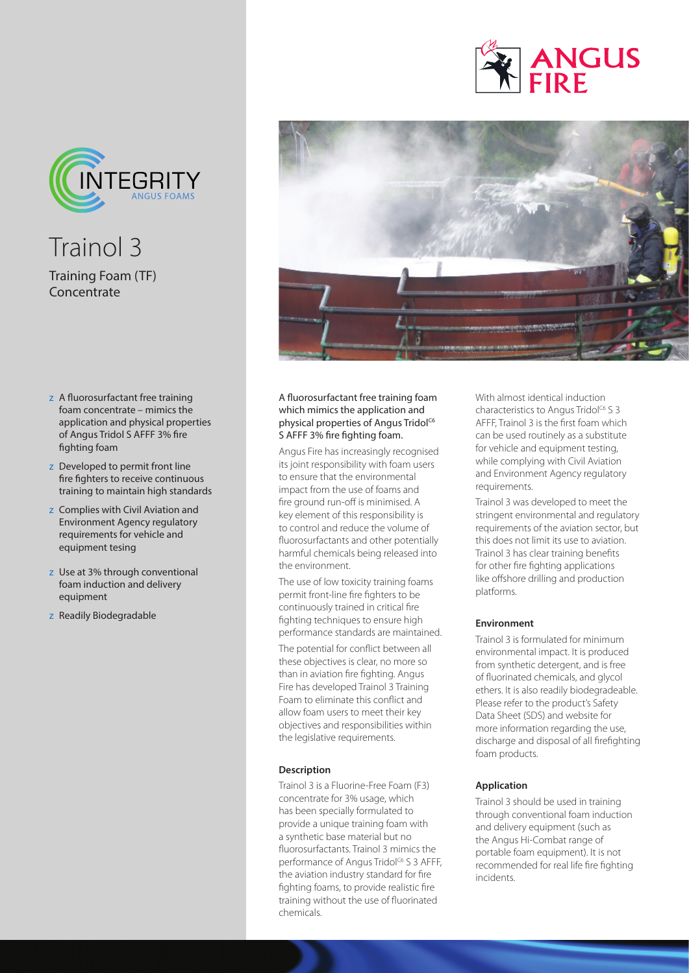

Trainol 3 Training Foam (TF) Concentrate

- z A fluorosurfactant free training foam concentrate – mimics the application and physical properties of Angus Tridol S AFFF 3% fire fighting foam
- z Developed to permit front line fire fighters to receive continuous training to maintain high standards
- z Complies with Civil Aviation and Environment Agency regulatory requirements for vehicle and equipment tesing
- z Use at 3% through conventional foam induction and delivery equipment
- z Readily Biodegradable





## A fluorosurfactant free training foam which mimics the application and physical properties of Angus Tridol<sup>C6</sup> S AFFF 3% fire fighting foam.

Angus Fire has increasingly recognised its joint responsibility with foam users to ensure that the environmental impact from the use of foams and fire ground run-off is minimised. A key element of this responsibility is to control and reduce the volume of fluorosurfactants and other potentially harmful chemicals being released into the environment.

The use of low toxicity training foams permit front-line fire fighters to be continuously trained in critical fire fighting techniques to ensure high performance standards are maintained.

The potential for conflict between all these objectives is clear, no more so than in aviation fire fighting. Angus Fire has developed Trainol 3 Training Foam to eliminate this conflict and allow foam users to meet their key objectives and responsibilities within the legislative requirements.

#### **Description**

Trainol 3 is a Fluorine-Free Foam (F3) concentrate for 3% usage, which has been specially formulated to provide a unique training foam with a synthetic base material but no fluorosurfactants. Trainol 3 mimics the performance of Angus Tridol<sup>c6</sup> S 3 AFFF, the aviation industry standard for fire fighting foams, to provide realistic fire training without the use of fluorinated chemicals.

With almost identical induction characteristics to Angus Tridol<sup>C6</sup> S 3 AFFF, Trainol 3 is the first foam which can be used routinely as a substitute for vehicle and equipment testing, while complying with Civil Aviation and Environment Agency regulatory requirements.

Trainol 3 was developed to meet the stringent environmental and regulatory requirements of the aviation sector, but this does not limit its use to aviation. Trainol 3 has clear training benefits for other fire fighting applications like offshore drilling and production platforms.

#### **Environment**

Trainol 3 is formulated for minimum environmental impact. It is produced from synthetic detergent, and is free of fluorinated chemicals, and glycol ethers. It is also readily biodegradeable. Please refer to the product's Safety Data Sheet (SDS) and website for more information regarding the use, discharge and disposal of all firefighting foam products.

## **Application**

Trainol 3 should be used in training through conventional foam induction and delivery equipment (such as the Angus Hi-Combat range of portable foam equipment). It is not recommended for real life fire fighting incidents.